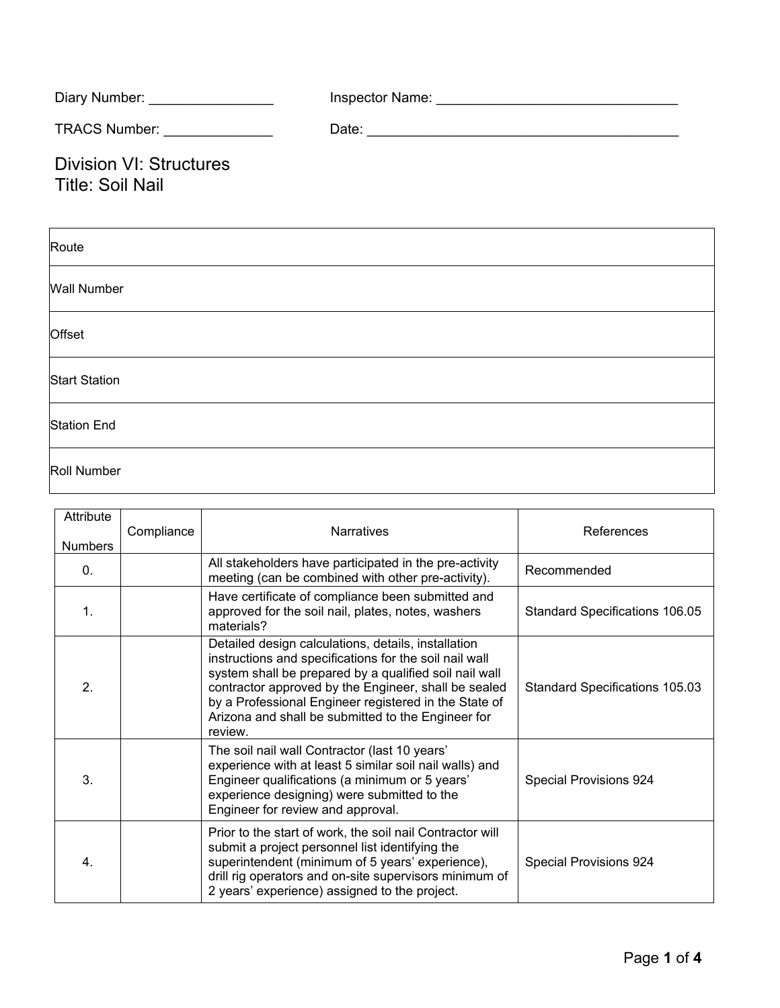| Diary Number: _________________                           |  |
|-----------------------------------------------------------|--|
| TRACS Number: _______________                             |  |
| <b>Division VI: Structures</b><br><b>Title: Soil Nail</b> |  |
| Route                                                     |  |
| <b>Wall Number</b>                                        |  |
| Offset                                                    |  |
| <b>Start Station</b>                                      |  |
| <b>Station End</b>                                        |  |

Roll Number

| Attribute<br><b>Numbers</b> | Compliance | <b>Narratives</b>                                                                                                                                                                                                                                                                                                                                         | References                     |
|-----------------------------|------------|-----------------------------------------------------------------------------------------------------------------------------------------------------------------------------------------------------------------------------------------------------------------------------------------------------------------------------------------------------------|--------------------------------|
| $\mathbf{0}$ .              |            | All stakeholders have participated in the pre-activity<br>meeting (can be combined with other pre-activity).                                                                                                                                                                                                                                              | Recommended                    |
| $\mathbf{1}$ .              |            | Have certificate of compliance been submitted and<br>approved for the soil nail, plates, notes, washers<br>materials?                                                                                                                                                                                                                                     | Standard Specifications 106.05 |
| 2.                          |            | Detailed design calculations, details, installation<br>instructions and specifications for the soil nail wall<br>system shall be prepared by a qualified soil nail wall<br>contractor approved by the Engineer, shall be sealed<br>by a Professional Engineer registered in the State of<br>Arizona and shall be submitted to the Engineer for<br>review. | Standard Specifications 105.03 |
| 3.                          |            | The soil nail wall Contractor (last 10 years'<br>experience with at least 5 similar soil nail walls) and<br>Engineer qualifications (a minimum or 5 years'<br>experience designing) were submitted to the<br>Engineer for review and approval.                                                                                                            | Special Provisions 924         |
| 4.                          |            | Prior to the start of work, the soil nail Contractor will<br>submit a project personnel list identifying the<br>superintendent (minimum of 5 years' experience),<br>drill rig operators and on-site supervisors minimum of<br>2 years' experience) assigned to the project.                                                                               | <b>Special Provisions 924</b>  |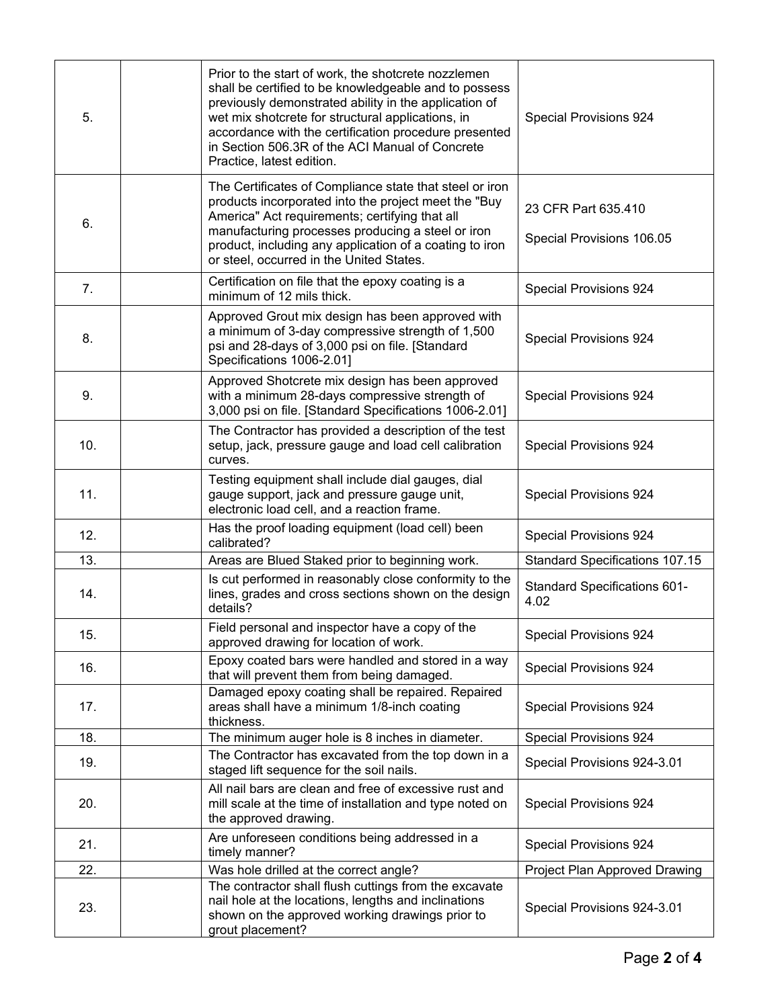| 5.  |             | Prior to the start of work, the shotcrete nozzlemen<br>shall be certified to be knowledgeable and to possess<br>previously demonstrated ability in the application of<br>wet mix shotcrete for structural applications, in<br>accordance with the certification procedure presented<br>in Section 506.3R of the ACI Manual of Concrete<br>Practice, latest edition. | Special Provisions 924                           |
|-----|-------------|---------------------------------------------------------------------------------------------------------------------------------------------------------------------------------------------------------------------------------------------------------------------------------------------------------------------------------------------------------------------|--------------------------------------------------|
| 6.  |             | The Certificates of Compliance state that steel or iron<br>products incorporated into the project meet the "Buy<br>America" Act requirements; certifying that all<br>manufacturing processes producing a steel or iron<br>product, including any application of a coating to iron<br>or steel, occurred in the United States.                                       | 23 CFR Part 635.410<br>Special Provisions 106.05 |
| 7.  |             | Certification on file that the epoxy coating is a<br>minimum of 12 mils thick.                                                                                                                                                                                                                                                                                      | Special Provisions 924                           |
| 8.  |             | Approved Grout mix design has been approved with<br>a minimum of 3-day compressive strength of 1,500<br>psi and 28-days of 3,000 psi on file. [Standard<br>Specifications 1006-2.01]                                                                                                                                                                                | Special Provisions 924                           |
| 9.  |             | Approved Shotcrete mix design has been approved<br>with a minimum 28-days compressive strength of<br>3,000 psi on file. [Standard Specifications 1006-2.01]                                                                                                                                                                                                         | Special Provisions 924                           |
| 10. | curves.     | The Contractor has provided a description of the test<br>setup, jack, pressure gauge and load cell calibration                                                                                                                                                                                                                                                      | Special Provisions 924                           |
| 11. |             | Testing equipment shall include dial gauges, dial<br>gauge support, jack and pressure gauge unit,<br>electronic load cell, and a reaction frame.                                                                                                                                                                                                                    | Special Provisions 924                           |
| 12. | calibrated? | Has the proof loading equipment (load cell) been                                                                                                                                                                                                                                                                                                                    | Special Provisions 924                           |
| 13. |             | Areas are Blued Staked prior to beginning work.                                                                                                                                                                                                                                                                                                                     | Standard Specifications 107.15                   |
| 14. | details?    | Is cut performed in reasonably close conformity to the<br>lines, grades and cross sections shown on the design                                                                                                                                                                                                                                                      | Standard Specifications 601-<br>4.02             |
| 15. |             | Field personal and inspector have a copy of the<br>approved drawing for location of work.                                                                                                                                                                                                                                                                           | Special Provisions 924                           |
| 16. |             | Epoxy coated bars were handled and stored in a way<br>that will prevent them from being damaged.                                                                                                                                                                                                                                                                    | <b>Special Provisions 924</b>                    |
| 17. | thickness.  | Damaged epoxy coating shall be repaired. Repaired<br>areas shall have a minimum 1/8-inch coating                                                                                                                                                                                                                                                                    | Special Provisions 924                           |
| 18. |             | The minimum auger hole is 8 inches in diameter.                                                                                                                                                                                                                                                                                                                     | Special Provisions 924                           |
| 19. |             | The Contractor has excavated from the top down in a<br>staged lift sequence for the soil nails.                                                                                                                                                                                                                                                                     | Special Provisions 924-3.01                      |
| 20. |             | All nail bars are clean and free of excessive rust and<br>mill scale at the time of installation and type noted on<br>the approved drawing.                                                                                                                                                                                                                         | Special Provisions 924                           |
| 21. |             | Are unforeseen conditions being addressed in a<br>timely manner?                                                                                                                                                                                                                                                                                                    | Special Provisions 924                           |
| 22. |             | Was hole drilled at the correct angle?                                                                                                                                                                                                                                                                                                                              | Project Plan Approved Drawing                    |
| 23. |             | The contractor shall flush cuttings from the excavate<br>nail hole at the locations, lengths and inclinations<br>shown on the approved working drawings prior to<br>grout placement?                                                                                                                                                                                | Special Provisions 924-3.01                      |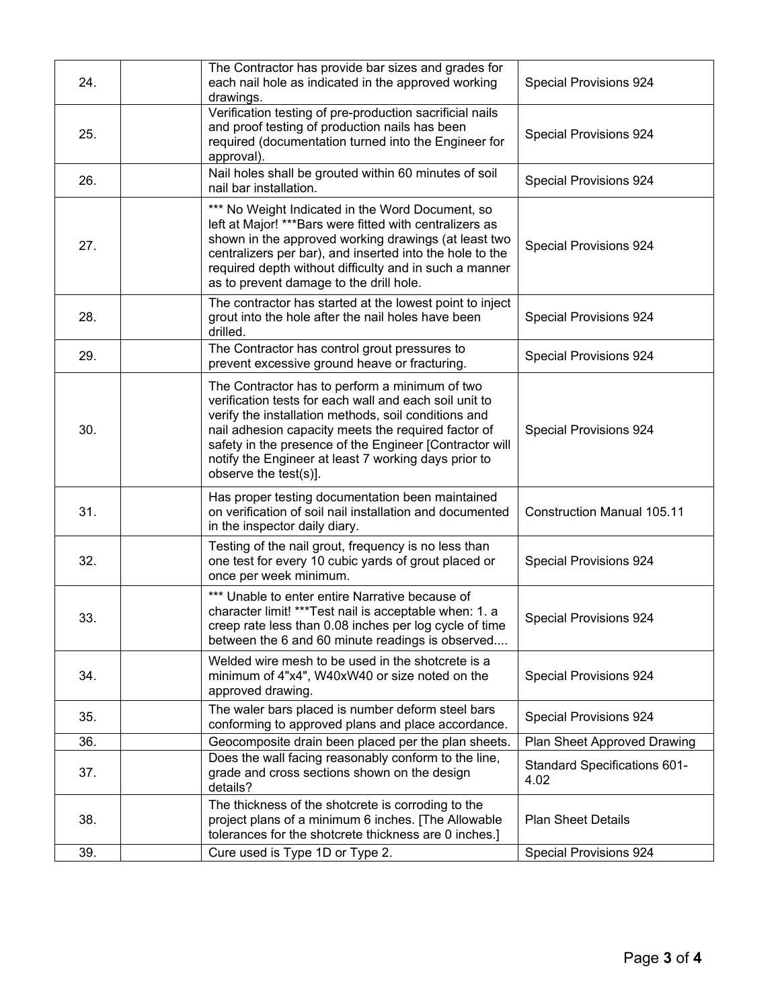| 24. | The Contractor has provide bar sizes and grades for<br>each nail hole as indicated in the approved working<br>drawings.                                                                                                                                                                                                                                             | Special Provisions 924                      |
|-----|---------------------------------------------------------------------------------------------------------------------------------------------------------------------------------------------------------------------------------------------------------------------------------------------------------------------------------------------------------------------|---------------------------------------------|
| 25. | Verification testing of pre-production sacrificial nails<br>and proof testing of production nails has been<br>required (documentation turned into the Engineer for<br>approval).                                                                                                                                                                                    | Special Provisions 924                      |
| 26. | Nail holes shall be grouted within 60 minutes of soil<br>nail bar installation.                                                                                                                                                                                                                                                                                     | Special Provisions 924                      |
| 27. | *** No Weight Indicated in the Word Document, so<br>left at Major! ***Bars were fitted with centralizers as<br>shown in the approved working drawings (at least two<br>centralizers per bar), and inserted into the hole to the<br>required depth without difficulty and in such a manner<br>as to prevent damage to the drill hole.                                | Special Provisions 924                      |
| 28. | The contractor has started at the lowest point to inject<br>grout into the hole after the nail holes have been<br>drilled.                                                                                                                                                                                                                                          | Special Provisions 924                      |
| 29. | The Contractor has control grout pressures to<br>prevent excessive ground heave or fracturing.                                                                                                                                                                                                                                                                      | Special Provisions 924                      |
| 30. | The Contractor has to perform a minimum of two<br>verification tests for each wall and each soil unit to<br>verify the installation methods, soil conditions and<br>nail adhesion capacity meets the required factor of<br>safety in the presence of the Engineer [Contractor will<br>notify the Engineer at least 7 working days prior to<br>observe the test(s)]. | Special Provisions 924                      |
| 31. | Has proper testing documentation been maintained<br>on verification of soil nail installation and documented<br>in the inspector daily diary.                                                                                                                                                                                                                       | <b>Construction Manual 105.11</b>           |
| 32. | Testing of the nail grout, frequency is no less than<br>one test for every 10 cubic yards of grout placed or<br>once per week minimum.                                                                                                                                                                                                                              | Special Provisions 924                      |
| 33. | *** Unable to enter entire Narrative because of<br>character limit! *** Test nail is acceptable when: 1. a<br>creep rate less than 0.08 inches per log cycle of time<br>between the 6 and 60 minute readings is observed                                                                                                                                            | Special Provisions 924                      |
| 34. | Welded wire mesh to be used in the shotcrete is a<br>minimum of 4"x4", W40xW40 or size noted on the<br>approved drawing.                                                                                                                                                                                                                                            | Special Provisions 924                      |
| 35. | The waler bars placed is number deform steel bars<br>conforming to approved plans and place accordance.                                                                                                                                                                                                                                                             | Special Provisions 924                      |
| 36. | Geocomposite drain been placed per the plan sheets.                                                                                                                                                                                                                                                                                                                 | Plan Sheet Approved Drawing                 |
| 37. | Does the wall facing reasonably conform to the line,<br>grade and cross sections shown on the design<br>details?                                                                                                                                                                                                                                                    | <b>Standard Specifications 601-</b><br>4.02 |
| 38. | The thickness of the shotcrete is corroding to the<br>project plans of a minimum 6 inches. [The Allowable<br>tolerances for the shotcrete thickness are 0 inches.]                                                                                                                                                                                                  | <b>Plan Sheet Details</b>                   |
| 39. | Cure used is Type 1D or Type 2.                                                                                                                                                                                                                                                                                                                                     | Special Provisions 924                      |